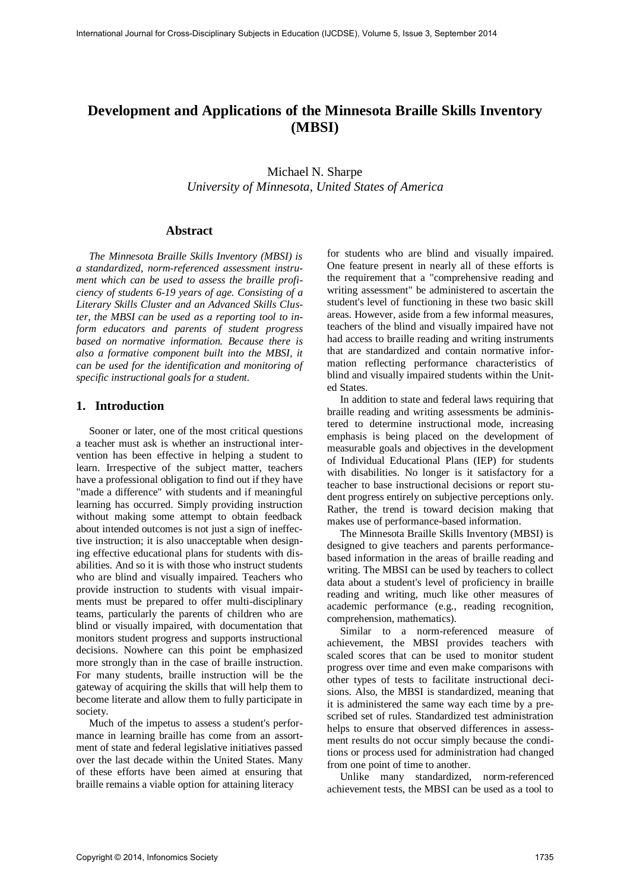# **Development and Applications of the Minnesota Braille Skills Inventory (MBSI)**

Michael N. Sharpe *University of Minnesota, United States of America* 

### **Abstract**

*The Minnesota Braille Skills Inventory (MBSI) is a standardized, norm-referenced assessment instrument which can be used to assess the braille proficiency of students 6-19 years of age. Consisting of a Literary Skills Cluster and an Advanced Skills Cluster, the MBSI can be used as a reporting tool to inform educators and parents of student progress based on normative information. Because there is also a formative component built into the MBSI, it can be used for the identification and monitoring of specific instructional goals for a student.* 

## **1. Introduction**

Sooner or later, one of the most critical questions a teacher must ask is whether an instructional intervention has been effective in helping a student to learn. Irrespective of the subject matter, teachers have a professional obligation to find out if they have "made a difference" with students and if meaningful learning has occurred. Simply providing instruction without making some attempt to obtain feedback about intended outcomes is not just a sign of ineffective instruction; it is also unacceptable when designing effective educational plans for students with disabilities. And so it is with those who instruct students who are blind and visually impaired. Teachers who provide instruction to students with visual impairments must be prepared to offer multi-disciplinary teams, particularly the parents of children who are blind or visually impaired, with documentation that monitors student progress and supports instructional decisions. Nowhere can this point be emphasized more strongly than in the case of braille instruction. For many students, braille instruction will be the gateway of acquiring the skills that will help them to become literate and allow them to fully participate in society.

Much of the impetus to assess a student's performance in learning braille has come from an assortment of state and federal legislative initiatives passed over the last decade within the United States. Many of these efforts have been aimed at ensuring that braille remains a viable option for attaining literacy

for students who are blind and visually impaired. One feature present in nearly all of these efforts is the requirement that a "comprehensive reading and writing assessment" be administered to ascertain the student's level of functioning in these two basic skill areas. However, aside from a few informal measures, teachers of the blind and visually impaired have not had access to braille reading and writing instruments that are standardized and contain normative information reflecting performance characteristics of blind and visually impaired students within the United States.

In addition to state and federal laws requiring that braille reading and writing assessments be administered to determine instructional mode, increasing emphasis is being placed on the development of measurable goals and objectives in the development of Individual Educational Plans (IEP) for students with disabilities. No longer is it satisfactory for a teacher to base instructional decisions or report student progress entirely on subjective perceptions only. Rather, the trend is toward decision making that makes use of performance-based information.

The Minnesota Braille Skills Inventory (MBSI) is designed to give teachers and parents performancebased information in the areas of braille reading and writing. The MBSI can be used by teachers to collect data about a student's level of proficiency in braille reading and writing, much like other measures of academic performance (e.g., reading recognition, comprehension, mathematics).

Similar to a norm-referenced measure of achievement, the MBSI provides teachers with scaled scores that can be used to monitor student progress over time and even make comparisons with other types of tests to facilitate instructional decisions. Also, the MBSI is standardized, meaning that it is administered the same way each time by a prescribed set of rules. Standardized test administration helps to ensure that observed differences in assessment results do not occur simply because the conditions or process used for administration had changed from one point of time to another.

Unlike many standardized, norm-referenced achievement tests, the MBSI can be used as a tool to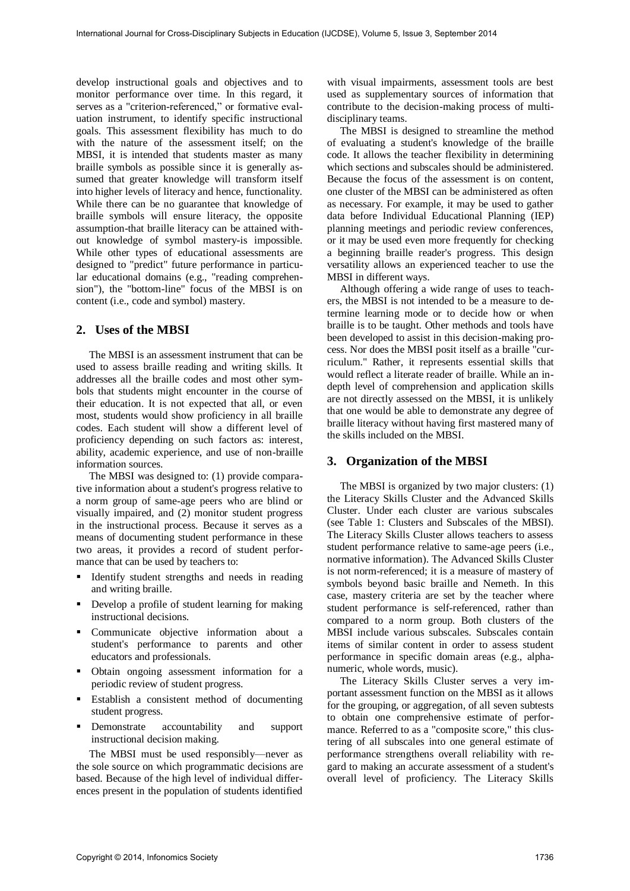develop instructional goals and objectives and to monitor performance over time. In this regard, it serves as a "criterion-referenced," or formative evaluation instrument, to identify specific instructional goals. This assessment flexibility has much to do with the nature of the assessment itself; on the MBSI, it is intended that students master as many braille symbols as possible since it is generally assumed that greater knowledge will transform itself into higher levels of literacy and hence, functionality. While there can be no guarantee that knowledge of braille symbols will ensure literacy, the opposite assumption-that braille literacy can be attained without knowledge of symbol mastery-is impossible. While other types of educational assessments are designed to "predict" future performance in particular educational domains (e.g., "reading comprehension"), the "bottom-line" focus of the MBSI is on content (i.e., code and symbol) mastery.

## **2. Uses of the MBSI**

The MBSI is an assessment instrument that can be used to assess braille reading and writing skills. It addresses all the braille codes and most other symbols that students might encounter in the course of their education. It is not expected that all, or even most, students would show proficiency in all braille codes. Each student will show a different level of proficiency depending on such factors as: interest, ability, academic experience, and use of non-braille information sources.

The MBSI was designed to: (1) provide comparative information about a student's progress relative to a norm group of same-age peers who are blind or visually impaired, and (2) monitor student progress in the instructional process. Because it serves as a means of documenting student performance in these two areas, it provides a record of student performance that can be used by teachers to:

- Identify student strengths and needs in reading and writing braille.
- Develop a profile of student learning for making instructional decisions.
- Communicate objective information about a student's performance to parents and other educators and professionals.
- Obtain ongoing assessment information for a periodic review of student progress.
- Establish a consistent method of documenting student progress.
- Demonstrate accountability and support instructional decision making.

The MBSI must be used responsibly—never as the sole source on which programmatic decisions are based. Because of the high level of individual differences present in the population of students identified with visual impairments, assessment tools are best used as supplementary sources of information that contribute to the decision-making process of multidisciplinary teams.

The MBSI is designed to streamline the method of evaluating a student's knowledge of the braille code. It allows the teacher flexibility in determining which sections and subscales should be administered. Because the focus of the assessment is on content, one cluster of the MBSI can be administered as often as necessary. For example, it may be used to gather data before Individual Educational Planning (IEP) planning meetings and periodic review conferences, or it may be used even more frequently for checking a beginning braille reader's progress. This design versatility allows an experienced teacher to use the MBSI in different ways.

Although offering a wide range of uses to teachers, the MBSI is not intended to be a measure to determine learning mode or to decide how or when braille is to be taught. Other methods and tools have been developed to assist in this decision-making process. Nor does the MBSI posit itself as a braille "curriculum." Rather, it represents essential skills that would reflect a literate reader of braille. While an indepth level of comprehension and application skills are not directly assessed on the MBSI, it is unlikely that one would be able to demonstrate any degree of braille literacy without having first mastered many of the skills included on the MBSI.

#### **3. Organization of the MBSI**

The MBSI is organized by two major clusters: (1) the Literacy Skills Cluster and the Advanced Skills Cluster. Under each cluster are various subscales (see Table 1: Clusters and Subscales of the MBSI). The Literacy Skills Cluster allows teachers to assess student performance relative to same-age peers (i.e., normative information). The Advanced Skills Cluster is not norm-referenced; it is a measure of mastery of symbols beyond basic braille and Nemeth. In this case, mastery criteria are set by the teacher where student performance is self-referenced, rather than compared to a norm group. Both clusters of the MBSI include various subscales. Subscales contain items of similar content in order to assess student performance in specific domain areas (e.g., alphanumeric, whole words, music).

The Literacy Skills Cluster serves a very important assessment function on the MBSI as it allows for the grouping, or aggregation, of all seven subtests to obtain one comprehensive estimate of performance. Referred to as a "composite score," this clustering of all subscales into one general estimate of performance strengthens overall reliability with regard to making an accurate assessment of a student's overall level of proficiency. The Literacy Skills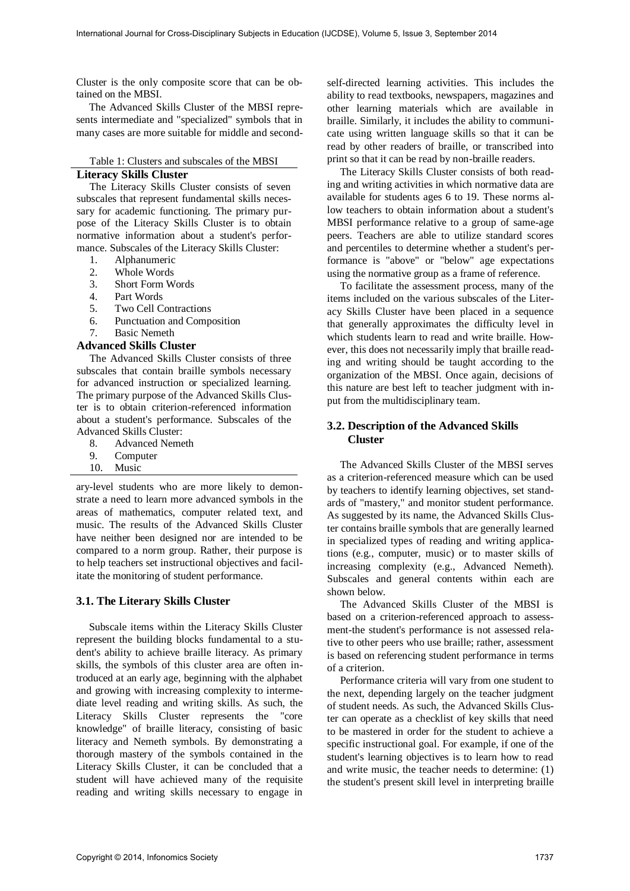Cluster is the only composite score that can be obtained on the MBSI.

The Advanced Skills Cluster of the MBSI represents intermediate and "specialized" symbols that in many cases are more suitable for middle and second-

Table 1: Clusters and subscales of the MBSI

## **Literacy Skills Cluster**

The Literacy Skills Cluster consists of seven subscales that represent fundamental skills necessary for academic functioning. The primary purpose of the Literacy Skills Cluster is to obtain normative information about a student's performance. Subscales of the Literacy Skills Cluster:

- 1. Alphanumeric
- 2. Whole Words
- 3. Short Form Words
- 4. Part Words
- 5. Two Cell Contractions
- 6. Punctuation and Composition
- 7. Basic Nemeth

#### **Advanced Skills Cluster**

The Advanced Skills Cluster consists of three subscales that contain braille symbols necessary for advanced instruction or specialized learning. The primary purpose of the Advanced Skills Cluster is to obtain criterion-referenced information about a student's performance. Subscales of the Advanced Skills Cluster:

- 8. Advanced Nemeth
- 9. Computer
- 10. Music

ary-level students who are more likely to demonstrate a need to learn more advanced symbols in the areas of mathematics, computer related text, and music. The results of the Advanced Skills Cluster have neither been designed nor are intended to be compared to a norm group. Rather, their purpose is to help teachers set instructional objectives and facilitate the monitoring of student performance.

### **3.1. The Literary Skills Cluster**

Subscale items within the Literacy Skills Cluster represent the building blocks fundamental to a student's ability to achieve braille literacy. As primary skills, the symbols of this cluster area are often introduced at an early age, beginning with the alphabet and growing with increasing complexity to intermediate level reading and writing skills. As such, the Literacy Skills Cluster represents the "core knowledge" of braille literacy, consisting of basic literacy and Nemeth symbols. By demonstrating a thorough mastery of the symbols contained in the Literacy Skills Cluster, it can be concluded that a student will have achieved many of the requisite reading and writing skills necessary to engage in

self-directed learning activities. This includes the ability to read textbooks, newspapers, magazines and other learning materials which are available in braille. Similarly, it includes the ability to communicate using written language skills so that it can be read by other readers of braille, or transcribed into print so that it can be read by non-braille readers.

The Literacy Skills Cluster consists of both reading and writing activities in which normative data are available for students ages 6 to 19. These norms allow teachers to obtain information about a student's MBSI performance relative to a group of same-age peers. Teachers are able to utilize standard scores and percentiles to determine whether a student's performance is "above" or "below" age expectations using the normative group as a frame of reference.

To facilitate the assessment process, many of the items included on the various subscales of the Literacy Skills Cluster have been placed in a sequence that generally approximates the difficulty level in which students learn to read and write braille. However, this does not necessarily imply that braille reading and writing should be taught according to the organization of the MBSI. Once again, decisions of this nature are best left to teacher judgment with input from the multidisciplinary team.

## **3.2. Description of the Advanced Skills Cluster**

The Advanced Skills Cluster of the MBSI serves as a criterion-referenced measure which can be used by teachers to identify learning objectives, set standards of "mastery," and monitor student performance. As suggested by its name, the Advanced Skills Cluster contains braille symbols that are generally learned in specialized types of reading and writing applications (e.g., computer, music) or to master skills of increasing complexity (e.g., Advanced Nemeth). Subscales and general contents within each are shown below.

The Advanced Skills Cluster of the MBSI is based on a criterion-referenced approach to assessment-the student's performance is not assessed relative to other peers who use braille; rather, assessment is based on referencing student performance in terms of a criterion.

Performance criteria will vary from one student to the next, depending largely on the teacher judgment of student needs. As such, the Advanced Skills Cluster can operate as a checklist of key skills that need to be mastered in order for the student to achieve a specific instructional goal. For example, if one of the student's learning objectives is to learn how to read and write music, the teacher needs to determine: (1) the student's present skill level in interpreting braille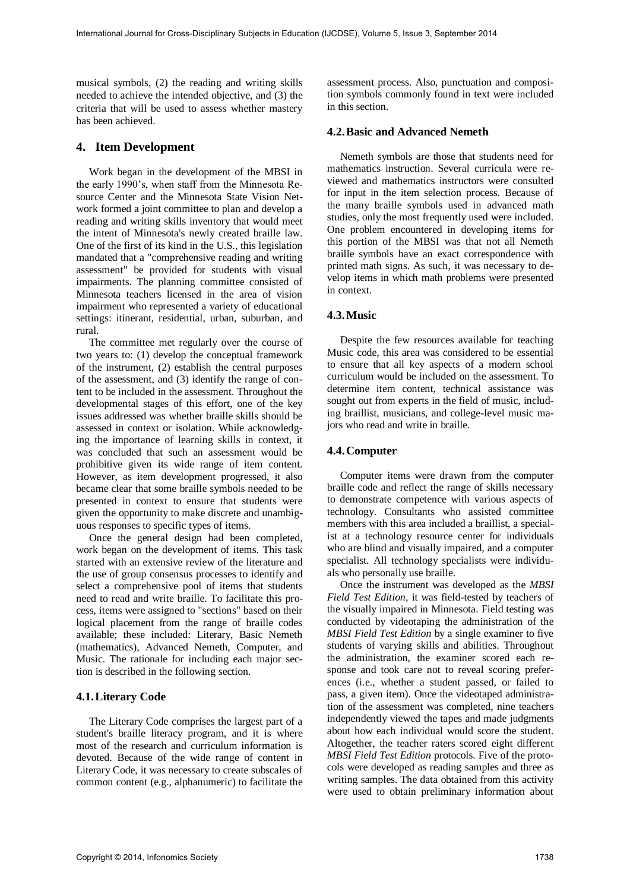musical symbols, (2) the reading and writing skills needed to achieve the intended objective, and (3) the criteria that will be used to assess whether mastery has been achieved.

#### **4. Item Development**

Work began in the development of the MBSI in the early 1990's, when staff from the Minnesota Resource Center and the Minnesota State Vision Network formed a joint committee to plan and develop a reading and writing skills inventory that would meet the intent of Minnesota's newly created braille law. One of the first of its kind in the U.S., this legislation mandated that a "comprehensive reading and writing assessment" be provided for students with visual impairments. The planning committee consisted of Minnesota teachers licensed in the area of vision impairment who represented a variety of educational settings: itinerant, residential, urban, suburban, and rural.

The committee met regularly over the course of two years to: (1) develop the conceptual framework of the instrument, (2) establish the central purposes of the assessment, and (3) identify the range of content to be included in the assessment. Throughout the developmental stages of this effort, one of the key issues addressed was whether braille skills should be assessed in context or isolation. While acknowledging the importance of learning skills in context, it was concluded that such an assessment would be prohibitive given its wide range of item content. However, as item development progressed, it also became clear that some braille symbols needed to be presented in context to ensure that students were given the opportunity to make discrete and unambiguous responses to specific types of items.

Once the general design had been completed, work began on the development of items. This task started with an extensive review of the literature and the use of group consensus processes to identify and select a comprehensive pool of items that students need to read and write braille. To facilitate this process, items were assigned to "sections" based on their logical placement from the range of braille codes available; these included: Literary, Basic Nemeth (mathematics), Advanced Nemeth, Computer, and Music. The rationale for including each major section is described in the following section.

#### **4.1. Literary Code**

The Literary Code comprises the largest part of a student's braille literacy program, and it is where most of the research and curriculum information is devoted. Because of the wide range of content in Literary Code, it was necessary to create subscales of common content (e.g., alphanumeric) to facilitate the assessment process. Also, punctuation and composition symbols commonly found in text were included in this section.

#### **4.2. Basic and Advanced Nemeth**

Nemeth symbols are those that students need for mathematics instruction. Several curricula were reviewed and mathematics instructors were consulted for input in the item selection process. Because of the many braille symbols used in advanced math studies, only the most frequently used were included. One problem encountered in developing items for this portion of the MBSI was that not all Nemeth braille symbols have an exact correspondence with printed math signs. As such, it was necessary to develop items in which math problems were presented in context.

#### **4.3. Music**

Despite the few resources available for teaching Music code, this area was considered to be essential to ensure that all key aspects of a modern school curriculum would be included on the assessment. To determine item content, technical assistance was sought out from experts in the field of music, including braillist, musicians, and college-level music majors who read and write in braille.

#### **4.4. Computer**

Computer items were drawn from the computer braille code and reflect the range of skills necessary to demonstrate competence with various aspects of technology. Consultants who assisted committee members with this area included a braillist, a specialist at a technology resource center for individuals who are blind and visually impaired, and a computer specialist. All technology specialists were individuals who personally use braille.

Once the instrument was developed as the *MBSI Field Test Edition,* it was field-tested by teachers of the visually impaired in Minnesota. Field testing was conducted by videotaping the administration of the *MBSI Field Test Edition* by a single examiner to five students of varying skills and abilities. Throughout the administration, the examiner scored each response and took care not to reveal scoring preferences (i.e., whether a student passed, or failed to pass, a given item). Once the videotaped administration of the assessment was completed, nine teachers independently viewed the tapes and made judgments about how each individual would score the student. Altogether, the teacher raters scored eight different *MBSI Field Test Edition* protocols. Five of the protocols were developed as reading samples and three as writing samples. The data obtained from this activity were used to obtain preliminary information about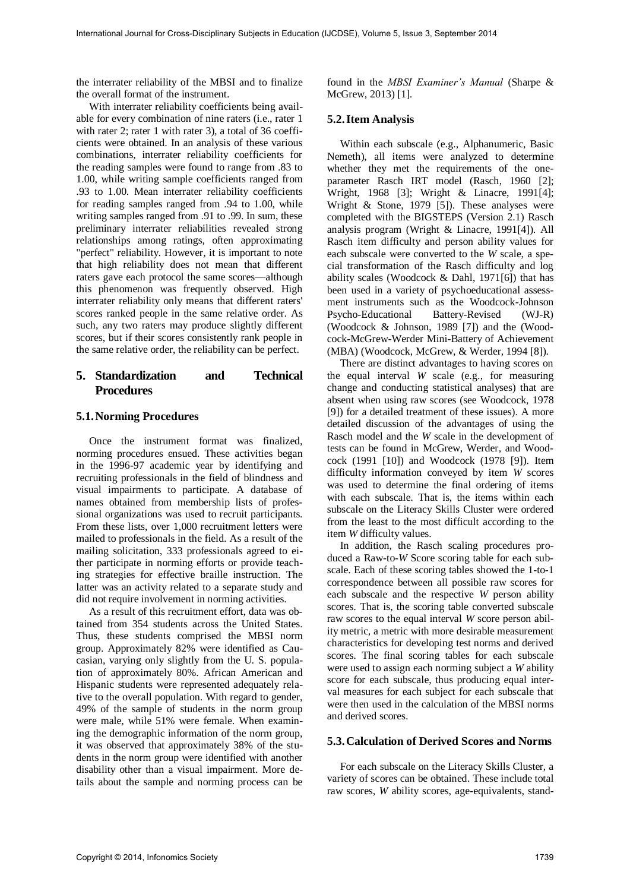the interrater reliability of the MBSI and to finalize the overall format of the instrument.

With interrater reliability coefficients being available for every combination of nine raters (i.e., rater 1 with rater 2; rater 1 with rater 3), a total of 36 coefficients were obtained. In an analysis of these various combinations, interrater reliability coefficients for the reading samples were found to range from .83 to 1.00, while writing sample coefficients ranged from .93 to 1.00. Mean interrater reliability coefficients for reading samples ranged from .94 to 1.00, while writing samples ranged from .91 to .99. In sum, these preliminary interrater reliabilities revealed strong relationships among ratings, often approximating "perfect" reliability. However, it is important to note that high reliability does not mean that different raters gave each protocol the same scores—although this phenomenon was frequently observed. High interrater reliability only means that different raters' scores ranked people in the same relative order. As such, any two raters may produce slightly different scores, but if their scores consistently rank people in the same relative order, the reliability can be perfect.

## **5. Standardization and Technical Procedures**

#### **5.1. Norming Procedures**

Once the instrument format was finalized, norming procedures ensued. These activities began in the 1996-97 academic year by identifying and recruiting professionals in the field of blindness and visual impairments to participate. A database of names obtained from membership lists of professional organizations was used to recruit participants. From these lists, over 1,000 recruitment letters were mailed to professionals in the field. As a result of the mailing solicitation, 333 professionals agreed to either participate in norming efforts or provide teaching strategies for effective braille instruction. The latter was an activity related to a separate study and did not require involvement in norming activities.

As a result of this recruitment effort, data was obtained from 354 students across the United States. Thus, these students comprised the MBSI norm group. Approximately 82% were identified as Caucasian, varying only slightly from the U. S. population of approximately 80%. African American and Hispanic students were represented adequately relative to the overall population. With regard to gender, 49% of the sample of students in the norm group were male, while 51% were female. When examining the demographic information of the norm group, it was observed that approximately 38% of the students in the norm group were identified with another disability other than a visual impairment. More details about the sample and norming process can be

found in the *MBSI Examiner's Manual* (Sharpe & McGrew, 2013) [1].

### **5.2. Item Analysis**

Within each subscale (e.g., Alphanumeric, Basic Nemeth), all items were analyzed to determine whether they met the requirements of the oneparameter Rasch IRT model (Rasch, 1960 [2]; Wright, 1968 [3]; Wright & Linacre, 1991[4]; Wright  $\&$  Stone, 1979 [5]). These analyses were completed with the BIGSTEPS (Version 2.1) Rasch analysis program (Wright & Linacre, 1991[4]). All Rasch item difficulty and person ability values for each subscale were converted to the *W* scale, a special transformation of the Rasch difficulty and log ability scales (Woodcock & Dahl, 1971[6]) that has been used in a variety of psychoeducational assessment instruments such as the Woodcock-Johnson Psycho-Educational Battery-Revised (WJ-R) (Woodcock & Johnson, 1989 [7]) and the (Woodcock-McGrew-Werder Mini-Battery of Achievement (MBA) (Woodcock, McGrew, & Werder, 1994 [8]).

There are distinct advantages to having scores on the equal interval *W* scale (e.g., for measuring change and conducting statistical analyses) that are absent when using raw scores (see Woodcock, 1978 [9]) for a detailed treatment of these issues). A more detailed discussion of the advantages of using the Rasch model and the *W* scale in the development of tests can be found in McGrew, Werder, and Woodcock (1991 [10]) and Woodcock (1978 [9]). Item difficulty information conveyed by item *W* scores was used to determine the final ordering of items with each subscale. That is, the items within each subscale on the Literacy Skills Cluster were ordered from the least to the most difficult according to the item *W* difficulty values.

In addition, the Rasch scaling procedures produced a Raw-to-*W* Score scoring table for each subscale. Each of these scoring tables showed the 1-to-1 correspondence between all possible raw scores for each subscale and the respective *W* person ability scores. That is, the scoring table converted subscale raw scores to the equal interval *W* score person ability metric, a metric with more desirable measurement characteristics for developing test norms and derived scores. The final scoring tables for each subscale were used to assign each norming subject a *W* ability score for each subscale, thus producing equal interval measures for each subject for each subscale that were then used in the calculation of the MBSI norms and derived scores.

#### **5.3. Calculation of Derived Scores and Norms**

For each subscale on the Literacy Skills Cluster, a variety of scores can be obtained. These include total raw scores, *W* ability scores, age-equivalents, stand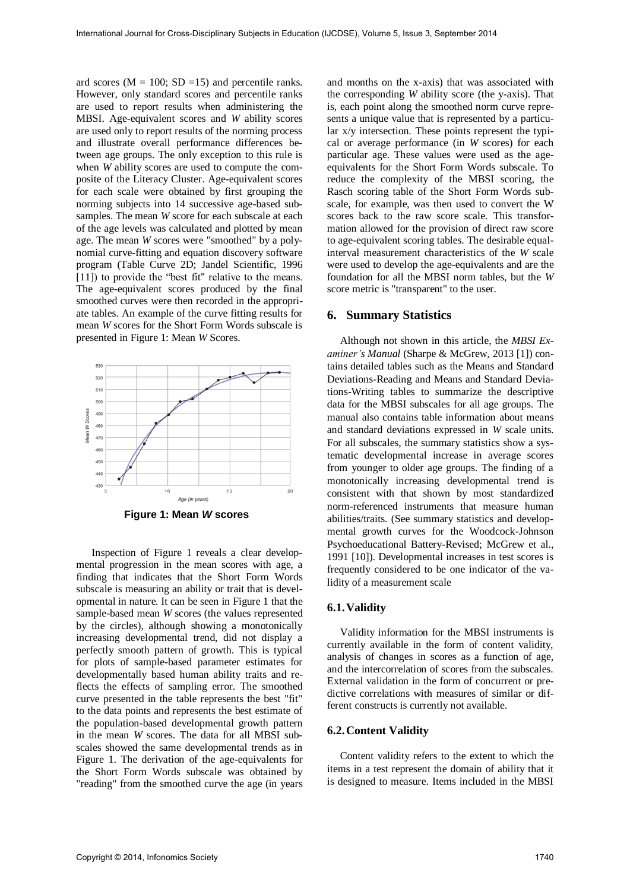ard scores ( $M = 100$ ; SD = 15) and percentile ranks. However, only standard scores and percentile ranks are used to report results when administering the MBSI. Age-equivalent scores and *W* ability scores are used only to report results of the norming process and illustrate overall performance differences between age groups. The only exception to this rule is when *W* ability scores are used to compute the composite of the Literacy Cluster. Age-equivalent scores for each scale were obtained by first grouping the norming subjects into 14 successive age-based subsamples. The mean *W* score for each subscale at each of the age levels was calculated and plotted by mean age. The mean *W* scores were "smoothed" by a polynomial curve-fitting and equation discovery software program (Table Curve 2D; Jandel Scientific, 1996 [11]) to provide the "best fit" relative to the means. The age-equivalent scores produced by the final smoothed curves were then recorded in the appropriate tables. An example of the curve fitting results for mean *W* scores for the Short Form Words subscale is presented in Figure 1: Mean *W* Scores.



 Inspection of Figure 1 reveals a clear developmental progression in the mean scores with age, a finding that indicates that the Short Form Words subscale is measuring an ability or trait that is developmental in nature. It can be seen in Figure 1 that the sample-based mean *W* scores (the values represented by the circles), although showing a monotonically increasing developmental trend, did not display a perfectly smooth pattern of growth. This is typical for plots of sample-based parameter estimates for developmentally based human ability traits and reflects the effects of sampling error. The smoothed curve presented in the table represents the best "fit" to the data points and represents the best estimate of the population-based developmental growth pattern in the mean *W* scores. The data for all MBSI subscales showed the same developmental trends as in Figure 1. The derivation of the age-equivalents for the Short Form Words subscale was obtained by "reading" from the smoothed curve the age (in years

and months on the x-axis) that was associated with the corresponding *W* ability score (the y-axis). That is, each point along the smoothed norm curve represents a unique value that is represented by a particular x/y intersection. These points represent the typical or average performance (in *W* scores) for each particular age. These values were used as the ageequivalents for the Short Form Words subscale. To reduce the complexity of the MBSI scoring, the Rasch scoring table of the Short Form Words subscale, for example, was then used to convert the W scores back to the raw score scale. This transformation allowed for the provision of direct raw score to age-equivalent scoring tables. The desirable equalinterval measurement characteristics of the *W* scale were used to develop the age-equivalents and are the foundation for all the MBSI norm tables, but the *W* score metric is "transparent" to the user.

#### **6. Summary Statistics**

Although not shown in this article, the *MBSI Examiner's Manual* (Sharpe & McGrew, 2013 [1]) contains detailed tables such as the Means and Standard Deviations-Reading and Means and Standard Deviations-Writing tables to summarize the descriptive data for the MBSI subscales for all age groups. The manual also contains table information about means and standard deviations expressed in *W* scale units. For all subscales, the summary statistics show a systematic developmental increase in average scores from younger to older age groups. The finding of a monotonically increasing developmental trend is consistent with that shown by most standardized norm-referenced instruments that measure human abilities/traits. (See summary statistics and developmental growth curves for the Woodcock-Johnson Psychoeducational Battery-Revised; McGrew et al., 1991 [10]). Developmental increases in test scores is frequently considered to be one indicator of the validity of a measurement scale

#### **6.1. Validity**

Validity information for the MBSI instruments is currently available in the form of content validity, analysis of changes in scores as a function of age, and the intercorrelation of scores from the subscales. External validation in the form of concurrent or predictive correlations with measures of similar or different constructs is currently not available.

#### **6.2. Content Validity**

Content validity refers to the extent to which the items in a test represent the domain of ability that it is designed to measure. Items included in the MBSI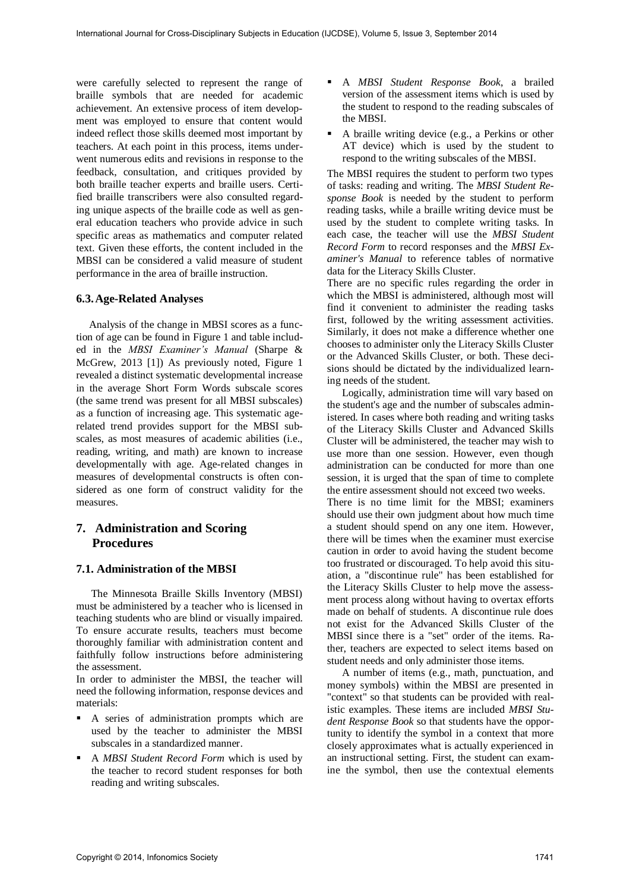were carefully selected to represent the range of braille symbols that are needed for academic achievement. An extensive process of item development was employed to ensure that content would indeed reflect those skills deemed most important by teachers. At each point in this process, items underwent numerous edits and revisions in response to the feedback, consultation, and critiques provided by both braille teacher experts and braille users. Certified braille transcribers were also consulted regarding unique aspects of the braille code as well as general education teachers who provide advice in such specific areas as mathematics and computer related text. Given these efforts, the content included in the MBSI can be considered a valid measure of student performance in the area of braille instruction.

### **6.3. Age-Related Analyses**

Analysis of the change in MBSI scores as a function of age can be found in Figure 1 and table included in the *MBSI Examiner's Manual* (Sharpe & McGrew, 2013 [1]) As previously noted, Figure 1 revealed a distinct systematic developmental increase in the average Short Form Words subscale scores (the same trend was present for all MBSI subscales) as a function of increasing age. This systematic agerelated trend provides support for the MBSI subscales, as most measures of academic abilities (i.e., reading, writing, and math) are known to increase developmentally with age. Age-related changes in measures of developmental constructs is often considered as one form of construct validity for the measures.

## **7. Administration and Scoring Procedures**

## **7.1. Administration of the MBSI**

The Minnesota Braille Skills Inventory (MBSI) must be administered by a teacher who is licensed in teaching students who are blind or visually impaired. To ensure accurate results, teachers must become thoroughly familiar with administration content and faithfully follow instructions before administering the assessment.

In order to administer the MBSI, the teacher will need the following information, response devices and materials:

- A series of administration prompts which are used by the teacher to administer the MBSI subscales in a standardized manner.
- A *MBSI Student Record Form* which is used by the teacher to record student responses for both reading and writing subscales.
- A *MBSI Student Response Book*, a brailed version of the assessment items which is used by the student to respond to the reading subscales of the MBSI.
- A braille writing device (e.g., a Perkins or other AT device) which is used by the student to respond to the writing subscales of the MBSI.

The MBSI requires the student to perform two types of tasks: reading and writing. The *MBSI Student Response Book* is needed by the student to perform reading tasks, while a braille writing device must be used by the student to complete writing tasks. In each case, the teacher will use the *MBSI Student Record Form* to record responses and the *MBSI Examiner's Manual* to reference tables of normative data for the Literacy Skills Cluster.

There are no specific rules regarding the order in which the MBSI is administered, although most will find it convenient to administer the reading tasks first, followed by the writing assessment activities. Similarly, it does not make a difference whether one chooses to administer only the Literacy Skills Cluster or the Advanced Skills Cluster, or both. These decisions should be dictated by the individualized learning needs of the student.

Logically, administration time will vary based on the student's age and the number of subscales administered. In cases where both reading and writing tasks of the Literacy Skills Cluster and Advanced Skills Cluster will be administered, the teacher may wish to use more than one session. However, even though administration can be conducted for more than one session, it is urged that the span of time to complete the entire assessment should not exceed two weeks.

There is no time limit for the MBSI; examiners should use their own judgment about how much time a student should spend on any one item. However, there will be times when the examiner must exercise caution in order to avoid having the student become too frustrated or discouraged. To help avoid this situation, a "discontinue rule" has been established for the Literacy Skills Cluster to help move the assessment process along without having to overtax efforts made on behalf of students. A discontinue rule does not exist for the Advanced Skills Cluster of the MBSI since there is a "set" order of the items. Rather, teachers are expected to select items based on student needs and only administer those items.

A number of items (e.g., math, punctuation, and money symbols) within the MBSI are presented in "context" so that students can be provided with realistic examples. These items are included *MBSI Student Response Book* so that students have the opportunity to identify the symbol in a context that more closely approximates what is actually experienced in an instructional setting. First, the student can examine the symbol, then use the contextual elements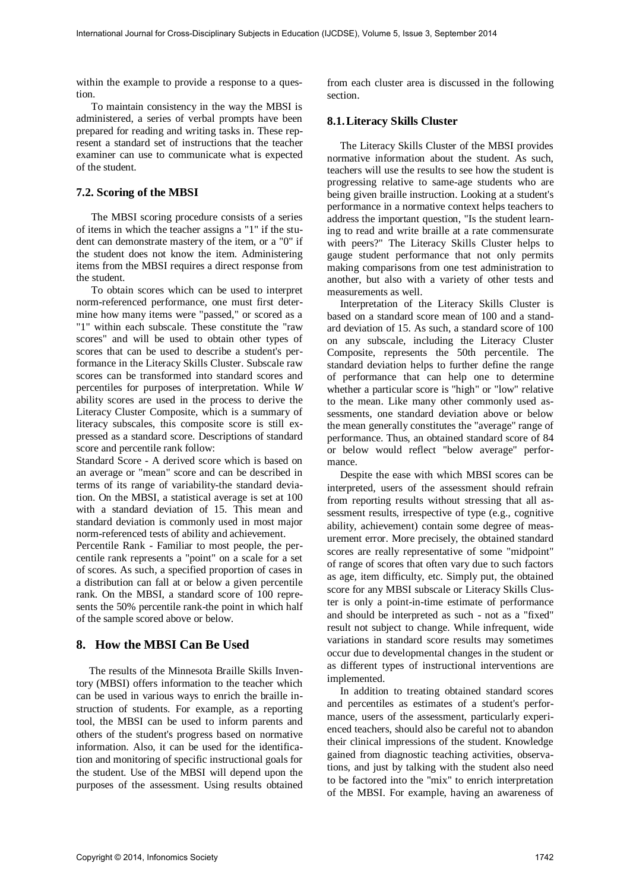within the example to provide a response to a question.

To maintain consistency in the way the MBSI is administered, a series of verbal prompts have been prepared for reading and writing tasks in. These represent a standard set of instructions that the teacher examiner can use to communicate what is expected of the student.

## **7.2. Scoring of the MBSI**

The MBSI scoring procedure consists of a series of items in which the teacher assigns a "1" if the student can demonstrate mastery of the item, or a "0" if the student does not know the item. Administering items from the MBSI requires a direct response from the student.

To obtain scores which can be used to interpret norm-referenced performance, one must first determine how many items were "passed," or scored as a "1" within each subscale. These constitute the "raw scores" and will be used to obtain other types of scores that can be used to describe a student's performance in the Literacy Skills Cluster. Subscale raw scores can be transformed into standard scores and percentiles for purposes of interpretation. While *W* ability scores are used in the process to derive the Literacy Cluster Composite, which is a summary of literacy subscales, this composite score is still expressed as a standard score. Descriptions of standard score and percentile rank follow:

Standard Score - A derived score which is based on an average or "mean" score and can be described in terms of its range of variability-the standard deviation. On the MBSI, a statistical average is set at 100 with a standard deviation of 15. This mean and standard deviation is commonly used in most major norm-referenced tests of ability and achievement.

Percentile Rank - Familiar to most people, the percentile rank represents a "point" on a scale for a set of scores. As such, a specified proportion of cases in a distribution can fall at or below a given percentile rank. On the MBSI, a standard score of 100 represents the 50% percentile rank-the point in which half of the sample scored above or below.

## **8. How the MBSI Can Be Used**

The results of the Minnesota Braille Skills Inventory (MBSI) offers information to the teacher which can be used in various ways to enrich the braille instruction of students. For example, as a reporting tool, the MBSI can be used to inform parents and others of the student's progress based on normative information. Also, it can be used for the identification and monitoring of specific instructional goals for the student. Use of the MBSI will depend upon the purposes of the assessment. Using results obtained from each cluster area is discussed in the following section.

## **8.1. Literacy Skills Cluster**

The Literacy Skills Cluster of the MBSI provides normative information about the student. As such, teachers will use the results to see how the student is progressing relative to same-age students who are being given braille instruction. Looking at a student's performance in a normative context helps teachers to address the important question, "Is the student learning to read and write braille at a rate commensurate with peers?" The Literacy Skills Cluster helps to gauge student performance that not only permits making comparisons from one test administration to another, but also with a variety of other tests and measurements as well.

Interpretation of the Literacy Skills Cluster is based on a standard score mean of 100 and a standard deviation of 15. As such, a standard score of 100 on any subscale, including the Literacy Cluster Composite, represents the 50th percentile. The standard deviation helps to further define the range of performance that can help one to determine whether a particular score is "high" or "low" relative to the mean. Like many other commonly used assessments, one standard deviation above or below the mean generally constitutes the "average" range of performance. Thus, an obtained standard score of 84 or below would reflect "below average" performance.

Despite the ease with which MBSI scores can be interpreted, users of the assessment should refrain from reporting results without stressing that all assessment results, irrespective of type (e.g., cognitive ability, achievement) contain some degree of measurement error. More precisely, the obtained standard scores are really representative of some "midpoint" of range of scores that often vary due to such factors as age, item difficulty, etc. Simply put, the obtained score for any MBSI subscale or Literacy Skills Cluster is only a point-in-time estimate of performance and should be interpreted as such - not as a "fixed" result not subject to change. While infrequent, wide variations in standard score results may sometimes occur due to developmental changes in the student or as different types of instructional interventions are implemented.

In addition to treating obtained standard scores and percentiles as estimates of a student's performance, users of the assessment, particularly experienced teachers, should also be careful not to abandon their clinical impressions of the student. Knowledge gained from diagnostic teaching activities, observations, and just by talking with the student also need to be factored into the "mix" to enrich interpretation of the MBSI. For example, having an awareness of